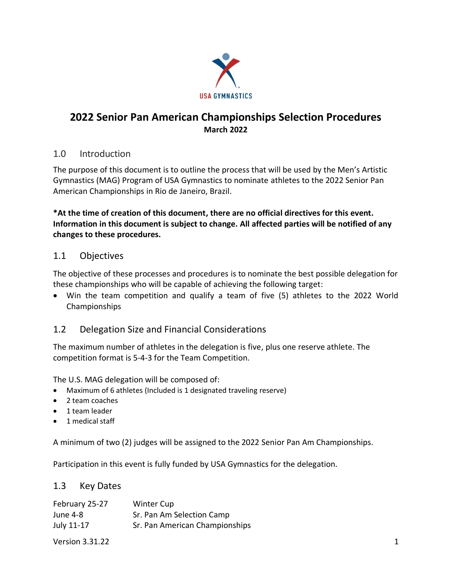

# **2022 Senior Pan American Championships Selection Procedures March 2022**

### 1.0 Introduction

The purpose of this document is to outline the process that will be used by the Men's Artistic Gymnastics (MAG) Program of USA Gymnastics to nominate athletes to the 2022 Senior Pan American Championships in Rio de Janeiro, Brazil.

**\*At the time of creation of this document, there are no official directives for this event. Information in this document is subject to change. All affected parties will be notified of any changes to these procedures.**

## 1.1 Objectives

The objective of these processes and procedures is to nominate the best possible delegation for these championships who will be capable of achieving the following target:

• Win the team competition and qualify a team of five (5) athletes to the 2022 World Championships

# 1.2 Delegation Size and Financial Considerations

The maximum number of athletes in the delegation is five, plus one reserve athlete. The competition format is 5-4-3 for the Team Competition.

The U.S. MAG delegation will be composed of:

- Maximum of 6 athletes (Included is 1 designated traveling reserve)
- 2 team coaches
- 1 team leader
- 1 medical staff

A minimum of two (2) judges will be assigned to the 2022 Senior Pan Am Championships.

Participation in this event is fully funded by USA Gymnastics for the delegation.

### 1.3 Key Dates

| February 25-27 | <b>Winter Cup</b>              |
|----------------|--------------------------------|
| June 4-8       | Sr. Pan Am Selection Camp      |
| July 11-17     | Sr. Pan American Championships |

Version 3.31.22 **1**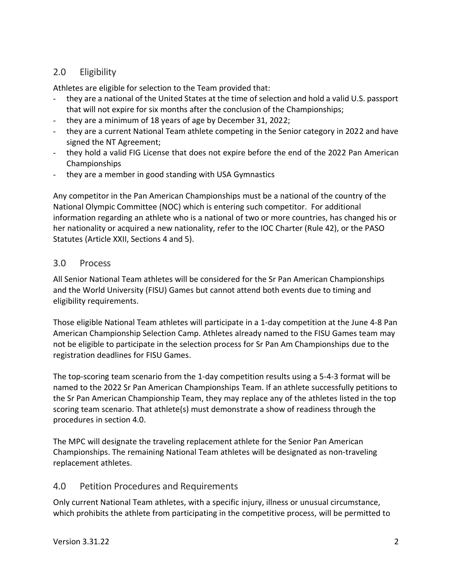## 2.0 Eligibility

Athletes are eligible for selection to the Team provided that:

- they are a national of the United States at the time of selection and hold a valid U.S. passport that will not expire for six months after the conclusion of the Championships;
- they are a minimum of 18 years of age by December 31, 2022;
- they are a current National Team athlete competing in the Senior category in 2022 and have signed the NT Agreement;
- they hold a valid FIG License that does not expire before the end of the 2022 Pan American Championships
- they are a member in good standing with USA Gymnastics

Any competitor in the Pan American Championships must be a national of the country of the National Olympic Committee (NOC) which is entering such competitor. For additional information regarding an athlete who is a national of two or more countries, has changed his or her nationality or acquired a new nationality, refer to the IOC Charter (Rule 42), or the PASO Statutes (Article XXII, Sections 4 and 5).

### 3.0 Process

All Senior National Team athletes will be considered for the Sr Pan American Championships and the World University (FISU) Games but cannot attend both events due to timing and eligibility requirements.

Those eligible National Team athletes will participate in a 1-day competition at the June 4-8 Pan American Championship Selection Camp. Athletes already named to the FISU Games team may not be eligible to participate in the selection process for Sr Pan Am Championships due to the registration deadlines for FISU Games.

The top-scoring team scenario from the 1-day competition results using a 5-4-3 format will be named to the 2022 Sr Pan American Championships Team. If an athlete successfully petitions to the Sr Pan American Championship Team, they may replace any of the athletes listed in the top scoring team scenario. That athlete(s) must demonstrate a show of readiness through the procedures in section 4.0.

The MPC will designate the traveling replacement athlete for the Senior Pan American Championships. The remaining National Team athletes will be designated as non-traveling replacement athletes.

### 4.0 Petition Procedures and Requirements

Only current National Team athletes, with a specific injury, illness or unusual circumstance, which prohibits the athlete from participating in the competitive process, will be permitted to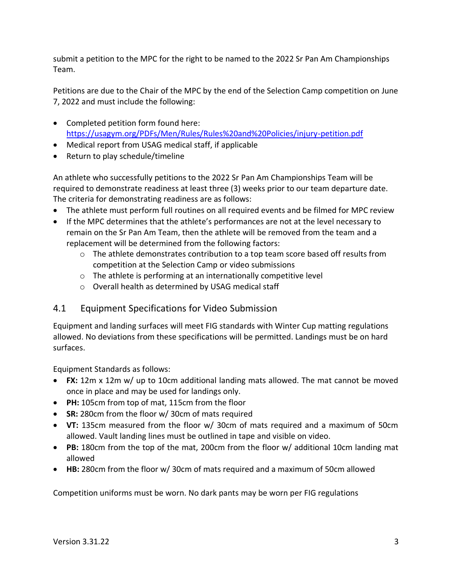submit a petition to the MPC for the right to be named to the 2022 Sr Pan Am Championships Team.

Petitions are due to the Chair of the MPC by the end of the Selection Camp competition on June 7, 2022 and must include the following:

- Completed petition form found here: <https://usagym.org/PDFs/Men/Rules/Rules%20and%20Policies/injury-petition.pdf>
- Medical report from USAG medical staff, if applicable
- Return to play schedule/timeline

An athlete who successfully petitions to the 2022 Sr Pan Am Championships Team will be required to demonstrate readiness at least three (3) weeks prior to our team departure date. The criteria for demonstrating readiness are as follows:

- The athlete must perform full routines on all required events and be filmed for MPC review
- If the MPC determines that the athlete's performances are not at the level necessary to remain on the Sr Pan Am Team, then the athlete will be removed from the team and a replacement will be determined from the following factors:
	- $\circ$  The athlete demonstrates contribution to a top team score based off results from competition at the Selection Camp or video submissions
	- o The athlete is performing at an internationally competitive level
	- o Overall health as determined by USAG medical staff

### 4.1 Equipment Specifications for Video Submission

Equipment and landing surfaces will meet FIG standards with Winter Cup matting regulations allowed. No deviations from these specifications will be permitted. Landings must be on hard surfaces.

Equipment Standards as follows:

- **FX:** 12m x 12m w/ up to 10cm additional landing mats allowed. The mat cannot be moved once in place and may be used for landings only.
- **PH:** 105cm from top of mat, 115cm from the floor
- **SR:** 280cm from the floor w/ 30cm of mats required
- **VT:** 135cm measured from the floor w/ 30cm of mats required and a maximum of 50cm allowed. Vault landing lines must be outlined in tape and visible on video.
- **PB:** 180cm from the top of the mat, 200cm from the floor w/ additional 10cm landing mat allowed
- **HB:** 280cm from the floor w/ 30cm of mats required and a maximum of 50cm allowed

Competition uniforms must be worn. No dark pants may be worn per FIG regulations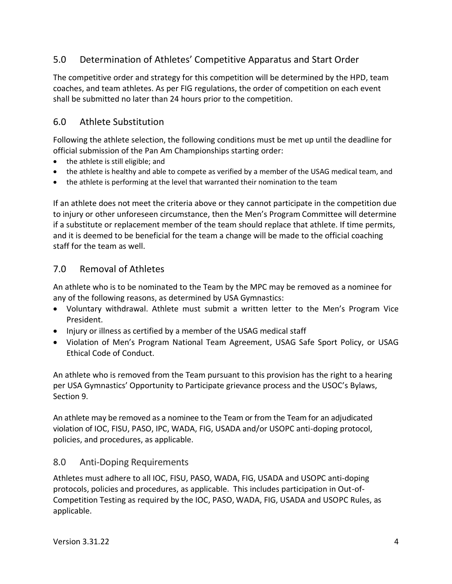# 5.0 Determination of Athletes' Competitive Apparatus and Start Order

The competitive order and strategy for this competition will be determined by the HPD, team coaches, and team athletes. As per FIG regulations, the order of competition on each event shall be submitted no later than 24 hours prior to the competition.

## 6.0 Athlete Substitution

Following the athlete selection, the following conditions must be met up until the deadline for official submission of the Pan Am Championships starting order:

- the athlete is still eligible; and
- the athlete is healthy and able to compete as verified by a member of the USAG medical team, and
- the athlete is performing at the level that warranted their nomination to the team

If an athlete does not meet the criteria above or they cannot participate in the competition due to injury or other unforeseen circumstance, then the Men's Program Committee will determine if a substitute or replacement member of the team should replace that athlete. If time permits, and it is deemed to be beneficial for the team a change will be made to the official coaching staff for the team as well.

### 7.0 Removal of Athletes

An athlete who is to be nominated to the Team by the MPC may be removed as a nominee for any of the following reasons, as determined by USA Gymnastics:

- Voluntary withdrawal. Athlete must submit a written letter to the Men's Program Vice President.
- Injury or illness as certified by a member of the USAG medical staff
- Violation of Men's Program National Team Agreement, USAG Safe Sport Policy, or USAG Ethical Code of Conduct.

An athlete who is removed from the Team pursuant to this provision has the right to a hearing per USA Gymnastics' Opportunity to Participate grievance process and the USOC's Bylaws, Section 9.

An athlete may be removed as a nominee to the Team or from the Team for an adjudicated violation of IOC, FISU, PASO, IPC, WADA, FIG, USADA and/or USOPC anti-doping protocol, policies, and procedures, as applicable.

#### 8.0 Anti-Doping Requirements

Athletes must adhere to all IOC, FISU, PASO, WADA, FIG, USADA and USOPC anti-doping protocols, policies and procedures, as applicable. This includes participation in Out-of-Competition Testing as required by the IOC, PASO, WADA, FIG, USADA and USOPC Rules, as applicable.